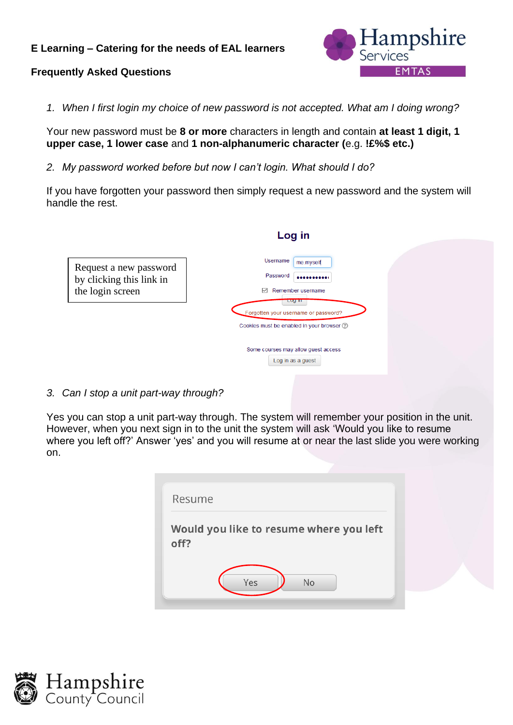# **E Learning – Catering for the needs of EAL learners**

# **Frequently Asked Questions**



*1. When I first login my choice of new password is not accepted. What am I doing wrong?*

Your new password must be **8 or more** characters in length and contain **at least 1 digit, 1 upper case, 1 lower case** and **1 non-alphanumeric character (**e.g. **!£%\$ etc.)**

*2. My password worked before but now I can't login. What should I do?*

If you have forgotten your password then simply request a new password and the system will handle the rest.



#### *3. Can I stop a unit part-way through?*

Yes you can stop a unit part-way through. The system will remember your position in the unit. However, when you next sign in to the unit the system will ask 'Would you like to resume where you left off?' Answer 'yes' and you will resume at or near the last slide you were working on.

| Resume                                          |
|-------------------------------------------------|
| Would you like to resume where you left<br>off? |
| <b>No</b><br>Yes                                |